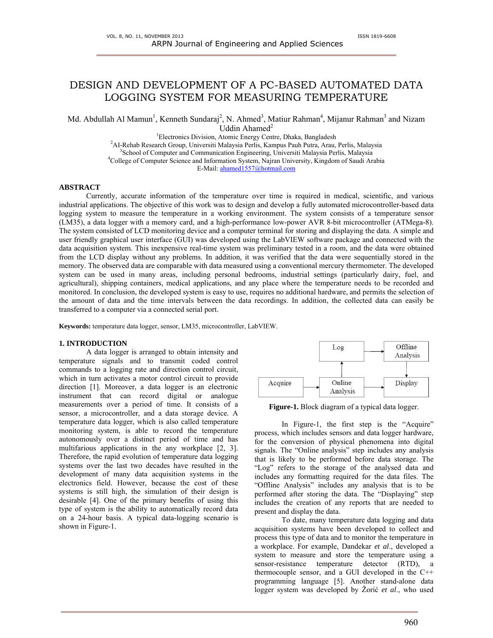# DESIGN AND DEVELOPMENT OF A PC-BASED AUTOMATED DATA LOGGING SYSTEM FOR MEASURING TEMPERATURE

Md. Abdullah Al Mamun<sup>1</sup>, Kenneth Sundaraj<sup>2</sup>, N. Ahmed<sup>3</sup>, Matiur Rahman<sup>4</sup>, Mijanur Rahman<sup>3</sup> and Nizam Uddin Ahamed<sup>2</sup>

<sup>1</sup> Electronics Division, Atomic Energy Centre, Dhaka, Bangladesh <sup>2</sup>AL Pebph Besearch Group, University Meloveja Barlis, Kampus Bauh Butra, Arau

<sup>2</sup>AI-Rehab Research Group, Universiti Malaysia Perlis, Kampus Pauh Putra, Arau, Perlis, Malaysia

<sup>3</sup>School of Computer and Communication Engineering, Universiti Malaysia Perlis, Malaysia

<sup>4</sup>College of Computer Science and Information System, Najran University, Kingdom of Saudi Arabia

E-Mail: ahamed1557@hotmail.com

### **ABSTRACT**

Currently, accurate information of the temperature over time is required in medical, scientific, and various industrial applications. The objective of this work was to design and develop a fully automated microcontroller-based data logging system to measure the temperature in a working environment. The system consists of a temperature sensor (LM35), a data logger with a memory card, and a high-performance low-power AVR 8-bit microcontroller (ATMega-8). The system consisted of LCD monitoring device and a computer terminal for storing and displaying the data. A simple and user friendly graphical user interface (GUI) was developed using the LabVIEW software package and connected with the data acquisition system. This inexpensive real-time system was preliminary tested in a room, and the data were obtained from the LCD display without any problems. In addition, it was verified that the data were sequentially stored in the memory. The observed data are comparable with data measured using a conventional mercury thermometer. The developed system can be used in many areas, including personal bedrooms, industrial settings (particularly dairy, fuel, and agricultural), shipping containers, medical applications, and any place where the temperature needs to be recorded and monitored. In conclusion, the developed system is easy to use, requires no additional hardware, and permits the selection of the amount of data and the time intervals between the data recordings. In addition, the collected data can easily be transferred to a computer via a connected serial port.

**Keywords:** temperature data logger, sensor, LM35, microcontroller, LabVIEW.

#### **1. INTRODUCTION**

A data logger is arranged to obtain intensity and temperature signals and to transmit coded control commands to a logging rate and direction control circuit, which in turn activates a motor control circuit to provide direction [1]. Moreover, a data logger is an electronic instrument that can record digital or analogue measurements over a period of time. It consists of a sensor, a microcontroller, and a data storage device. A temperature data logger, which is also called temperature monitoring system, is able to record the temperature autonomously over a distinct period of time and has multifarious applications in the any workplace [2, 3]. Therefore, the rapid evolution of temperature data logging systems over the last two decades have resulted in the development of many data acquisition systems in the electronics field. However, because the cost of these systems is still high, the simulation of their design is desirable [4]. One of the primary benefits of using this type of system is the ability to automatically record data on a 24-hour basis. A typical data-logging scenario is shown in Figure-1.



**Figure-1.** Block diagram of a typical data logger.

In Figure-1, the first step is the "Acquire" process, which includes sensors and data logger hardware, for the conversion of physical phenomena into digital signals. The "Online analysis" step includes any analysis that is likely to be performed before data storage. The "Log" refers to the storage of the analysed data and includes any formatting required for the data files. The "Offline Analysis" includes any analysis that is to be performed after storing the data. The "Displaying" step includes the creation of any reports that are needed to present and display the data.

To date, many temperature data logging and data acquisition systems have been developed to collect and process this type of data and to monitor the temperature in a workplace. For example, Dandekar *et al*., developed a system to measure and store the temperature using a sensor-resistance temperature detector (RTD), a thermocouple sensor, and a GUI developed in the C++ programming language [5]. Another stand-alone data logger system was developed by Žorić *et al*., who used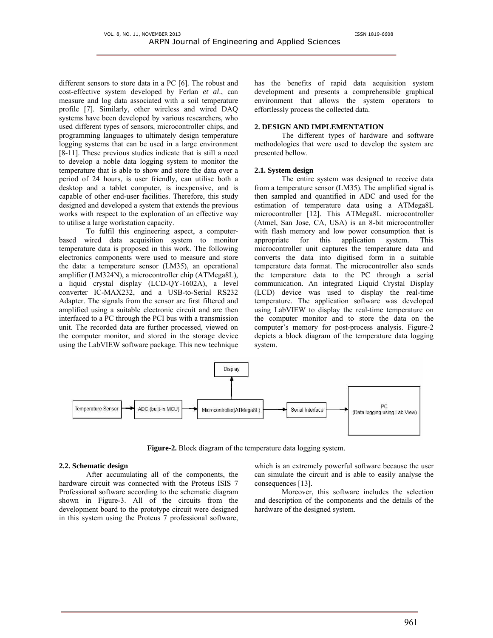different sensors to store data in a PC [6]. The robust and cost-effective system developed by Ferlan *et al*., can measure and log data associated with a soil temperature profile [7]. Similarly, other wireless and wired DAQ systems have been developed by various researchers, who used different types of sensors, microcontroller chips, and programming languages to ultimately design temperature logging systems that can be used in a large environment [8-11]. These previous studies indicate that is still a need to develop a noble data logging system to monitor the temperature that is able to show and store the data over a period of 24 hours, is user friendly, can utilise both a desktop and a tablet computer, is inexpensive, and is capable of other end-user facilities. Therefore, this study designed and developed a system that extends the previous works with respect to the exploration of an effective way to utilise a large workstation capacity.

To fulfil this engineering aspect, a computerbased wired data acquisition system to monitor temperature data is proposed in this work. The following electronics components were used to measure and store the data: a temperature sensor (LM35), an operational amplifier (LM324N), a microcontroller chip (ATMega8L), a liquid crystal display (LCD-QY-1602A), a level converter IC-MAX232, and a USB-to-Serial RS232 Adapter. The signals from the sensor are first filtered and amplified using a suitable electronic circuit and are then interfaced to a PC through the PCI bus with a transmission unit. The recorded data are further processed, viewed on the computer monitor, and stored in the storage device using the LabVIEW software package. This new technique

has the benefits of rapid data acquisition system development and presents a comprehensible graphical environment that allows the system operators to effortlessly process the collected data.

# **2. DESIGN AND IMPLEMENTATION**

The different types of hardware and software methodologies that were used to develop the system are presented bellow.

### **2.1. System design**

The entire system was designed to receive data from a temperature sensor (LM35). The amplified signal is then sampled and quantified in ADC and used for the estimation of temperature data using a ATMega8L microcontroller [12]. This ATMega8L microcontroller (Atmel, San Jose, CA, USA) is an 8-bit microcontroller with flash memory and low power consumption that is appropriate for this application system. This microcontroller unit captures the temperature data and converts the data into digitised form in a suitable temperature data format. The microcontroller also sends the temperature data to the PC through a serial communication. An integrated Liquid Crystal Display (LCD) device was used to display the real-time temperature. The application software was developed using LabVIEW to display the real-time temperature on the computer monitor and to store the data on the computer's memory for post-process analysis. Figure-2 depicts a block diagram of the temperature data logging system.



**Figure-2.** Block diagram of the temperature data logging system.

### **2.2. Schematic design**

After accumulating all of the components, the hardware circuit was connected with the Proteus ISIS 7 Professional software according to the schematic diagram shown in Figure-3. All of the circuits from the development board to the prototype circuit were designed in this system using the Proteus 7 professional software, which is an extremely powerful software because the user can simulate the circuit and is able to easily analyse the consequences [13].

Moreover, this software includes the selection and description of the components and the details of the hardware of the designed system.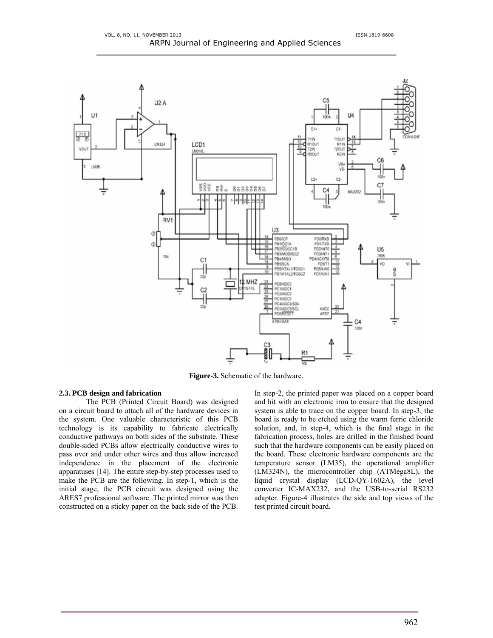

**Figure-3.** Schematic of the hardware.

# **2.3. PCB design and fabrication**

The PCB (Printed Circuit Board) was designed on a circuit board to attach all of the hardware devices in the system. One valuable characteristic of this PCB technology is its capability to fabricate electrically conductive pathways on both sides of the substrate. These double-sided PCBs allow electrically conductive wires to pass over and under other wires and thus allow increased independence in the placement of the electronic apparatuses [14]. The entire step-by-step processes used to make the PCB are the following. In step-1, which is the initial stage, the PCB circuit was designed using the ARES7 professional software. The printed mirror was then constructed on a sticky paper on the back side of the PCB. In step-2, the printed paper was placed on a copper board and hit with an electronic iron to ensure that the designed system is able to trace on the copper board. In step-3, the board is ready to be etched using the warm ferric chloride solution, and, in step-4, which is the final stage in the fabrication process, holes are drilled in the finished board such that the hardware components can be easily placed on the board. These electronic hardware components are the temperature sensor (LM35), the operational amplifier (LM324N), the microcontroller chip (ATMega8L), the liquid crystal display (LCD-QY-1602A), the level converter IC-MAX232, and the USB-to-serial RS232 adapter. Figure-4 illustrates the side and top views of the test printed circuit board.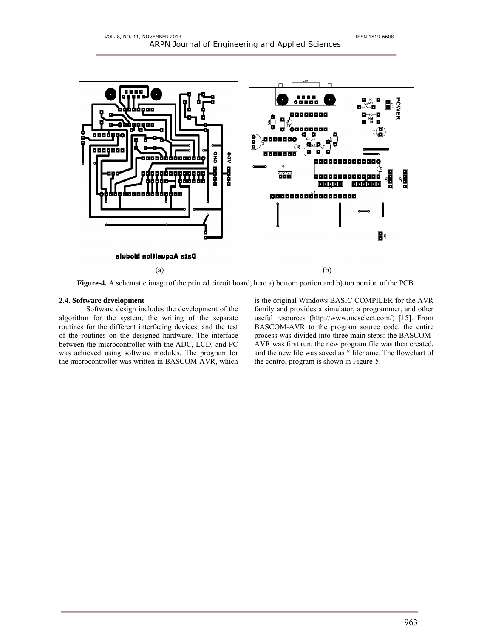

**Figure-4.** A schematic image of the printed circuit board, here a) bottom portion and b) top portion of the PCB.

# **2.4. Software development**

Software design includes the development of the algorithm for the system, the writing of the separate routines for the different interfacing devices, and the test of the routines on the designed hardware. The interface between the microcontroller with the ADC, LCD, and PC was achieved using software modules. The program for the microcontroller was written in BASCOM-AVR, which is the original Windows BASIC COMPILER for the AVR family and provides a simulator, a programmer, and other useful resources (http://www.mcselect.com/) [15]. From BASCOM-AVR to the program source code, the entire process was divided into three main steps: the BASCOM-AVR was first run, the new program file was then created, and the new file was saved as \*.filename. The flowchart of the control program is shown in Figure-5.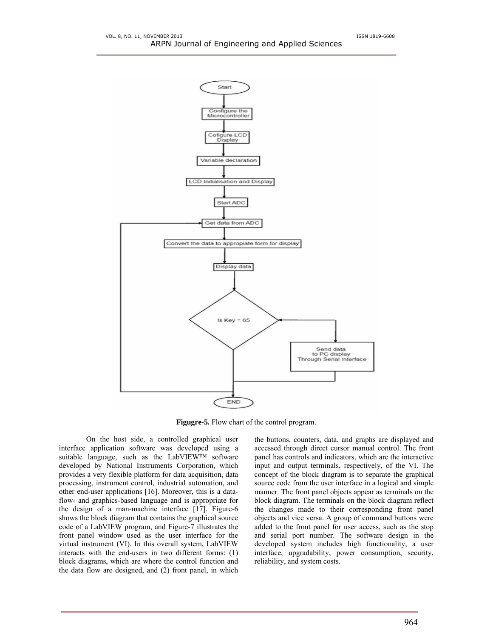

**Figugre-5.** Flow chart of the control program.

On the host side, a controlled graphical user interface application software was developed using a suitable language, such as the LabVIEW™ software developed by National Instruments Corporation, which provides a very flexible platform for data acquisition, data processing, instrument control, industrial automation, and other end-user applications [16]. Moreover, this is a dataflow- and graphics-based language and is appropriate for the design of a man-machine interface [17]. Figure-6 shows the block diagram that contains the graphical source code of a LabVIEW program, and Figure-7 illustrates the front panel window used as the user interface for the virtual instrument (VI). In this overall system, LabVIEW interacts with the end-users in two different forms: (1) block diagrams, which are where the control function and the data flow are designed, and (2) front panel, in which the buttons, counters, data, and graphs are displayed and accessed through direct cursor manual control. The front panel has controls and indicators, which are the interactive input and output terminals, respectively, of the VI. The concept of the block diagram is to separate the graphical source code from the user interface in a logical and simple manner. The front panel objects appear as terminals on the block diagram. The terminals on the block diagram reflect the changes made to their corresponding front panel objects and vice versa. A group of command buttons were added to the front panel for user access, such as the stop and serial port number. The software design in the developed system includes high functionality, a user interface, upgradability, power consumption, security, reliability, and system costs.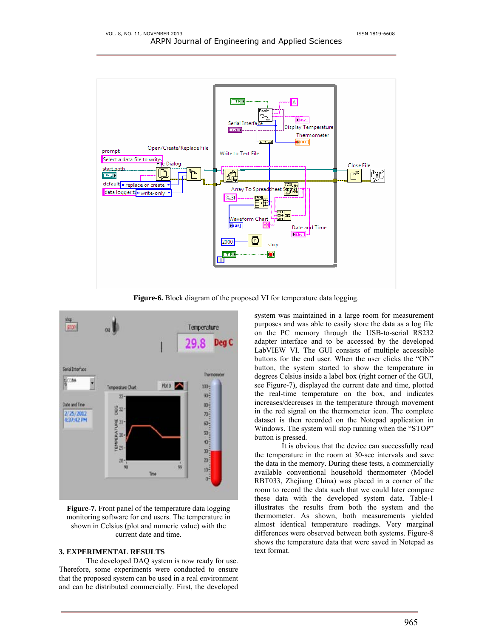

**Figure-6.** Block diagram of the proposed VI for temperature data logging.



**Figure-7.** Front panel of the temperature data logging monitoring software for end users. The temperature in shown in Celsius (plot and numeric value) with the current date and time.

# **3. EXPERIMENTAL RESULTS**

The developed DAQ system is now ready for use. Therefore, some experiments were conducted to ensure that the proposed system can be used in a real environment and can be distributed commercially. First, the developed system was maintained in a large room for measurement purposes and was able to easily store the data as a log file on the PC memory through the USB-to-serial RS232 adapter interface and to be accessed by the developed LabVIEW VI. The GUI consists of multiple accessible buttons for the end user. When the user clicks the "ON" button, the system started to show the temperature in degrees Celsius inside a label box (right corner of the GUI, see Figure-7), displayed the current date and time, plotted the real-time temperature on the box, and indicates increases/decreases in the temperature through movement in the red signal on the thermometer icon. The complete dataset is then recorded on the Notepad application in Windows. The system will stop running when the "STOP" button is pressed.

It is obvious that the device can successfully read the temperature in the room at 30-sec intervals and save the data in the memory. During these tests, a commercially available conventional household thermometer (Model RBT033, Zhejiang China) was placed in a corner of the room to record the data such that we could later compare these data with the developed system data. Table-1 illustrates the results from both the system and the thermometer. As shown, both measurements yielded almost identical temperature readings. Very marginal differences were observed between both systems. Figure-8 shows the temperature data that were saved in Notepad as text format.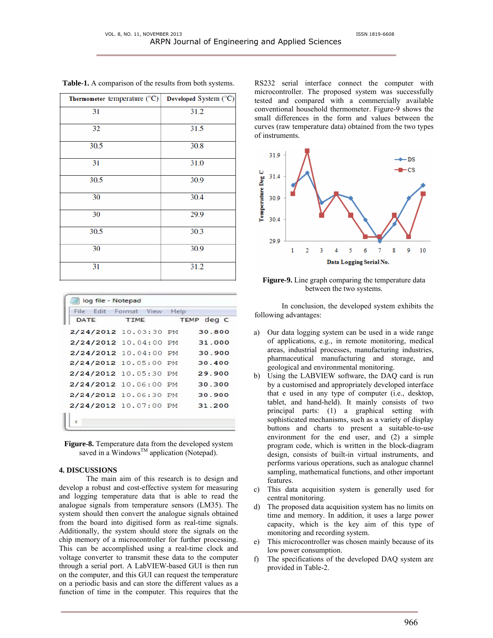| Thermometer temperature $(^{\circ}C)$ | Developed System (°C) |
|---------------------------------------|-----------------------|
| 31                                    | 31.2                  |
| 32                                    | 31.5                  |
| 30.5                                  | 30.8                  |
| 31                                    | 31.0                  |
| 30.5                                  | 30.9                  |
| 30                                    | 30.4                  |
| 30                                    | 29.9                  |
| 30.5                                  | 30.3                  |
| 30                                    | 30.9                  |
| 31                                    | 31.2                  |

**Table-1.** A comparison of the results from both systems.

|                       | File Edit Format View | Help |            |
|-----------------------|-----------------------|------|------------|
| DATE                  | TIME                  |      | TEMP deg C |
| 2/24/2012 10.03:30 PM |                       |      | 30.800     |
| 2/24/2012 10.04:00 PM |                       |      | 31.000     |
| 2/24/2012 10.04:00 PM |                       |      | 30.900     |
| 2/24/2012 10.05:00 PM |                       |      | 30.400     |
| 2/24/2012 10.05:30 PM |                       |      | 29.900     |
| 2/24/2012 10.06:00 PM |                       |      | 30.300     |
| 2/24/2012 10.06:30 PM |                       |      | 30.900     |
| 2/24/2012 10.07:00 PM |                       |      | 31.200     |

**Figure-8.** Temperature data from the developed system saved in a Windows<sup>™</sup> application (Notepad).

# **4. DISCUSSIONS**

The main aim of this research is to design and develop a robust and cost-effective system for measuring and logging temperature data that is able to read the analogue signals from temperature sensors (LM35). The system should then convert the analogue signals obtained from the board into digitised form as real-time signals. Additionally, the system should store the signals on the chip memory of a microcontroller for further processing. This can be accomplished using a real-time clock and voltage converter to transmit these data to the computer through a serial port. A LabVIEW-based GUI is then run on the computer, and this GUI can request the temperature on a periodic basis and can store the different values as a function of time in the computer. This requires that the RS232 serial interface connect the computer with microcontroller. The proposed system was successfully tested and compared with a commercially available conventional household thermometer. Figure-9 shows the small differences in the form and values between the curves (raw temperature data) obtained from the two types of instruments.



**Figure-9.** Line graph comparing the temperature data between the two systems.

 In conclusion, the developed system exhibits the following advantages:

- a) Our data logging system can be used in a wide range of applications, e.g., in remote monitoring, medical areas, industrial processes, manufacturing industries, pharmaceutical manufacturing and storage, and geological and environmental monitoring.
- b) Using the LABVIEW software, the DAQ card is run by a customised and appropriately developed interface that e used in any type of computer (i.e., desktop, tablet, and hand-held). It mainly consists of two principal parts: (1) a graphical setting with sophisticated mechanisms, such as a variety of display buttons and charts to present a suitable-to-use environment for the end user, and (2) a simple program code, which is written in the block-diagram design, consists of built-in virtual instruments, and performs various operations, such as analogue channel sampling, mathematical functions, and other important features.
- c) This data acquisition system is generally used for central monitoring.
- d) The proposed data acquisition system has no limits on time and memory. In addition, it uses a large power capacity, which is the key aim of this type of monitoring and recording system.
- e) This microcontroller was chosen mainly because of its low power consumption.
- f) The specifications of the developed DAQ system are provided in Table-2.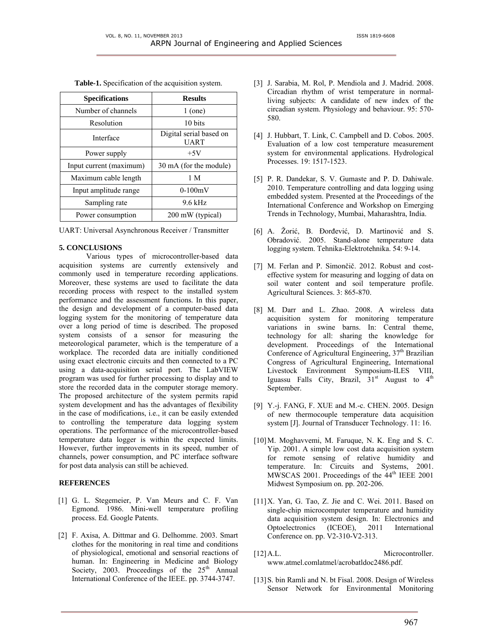| <b>Specifications</b>   | <b>Results</b>                         |
|-------------------------|----------------------------------------|
| Number of channels      | $1$ (one)                              |
| Resolution              | 10 bits                                |
| Interface               | Digital serial based on<br><b>UART</b> |
| Power supply            | $+5V$                                  |
| Input current (maximum) | 30 mA (for the module)                 |
| Maximum cable length    | 1 M                                    |
| Input amplitude range   | $0-100mV$                              |
| Sampling rate           | $9.6$ kHz                              |
| Power consumption       | 200 mW (typical)                       |

**Table-1.** Specification of the acquisition system.

UART: Universal Asynchronous Receiver / Transmitter

### **5. CONCLUSIONS**

Various types of microcontroller-based data acquisition systems are currently extensively and commonly used in temperature recording applications. Moreover, these systems are used to facilitate the data recording process with respect to the installed system performance and the assessment functions. In this paper, the design and development of a computer-based data logging system for the monitoring of temperature data over a long period of time is described. The proposed system consists of a sensor for measuring the meteorological parameter, which is the temperature of a workplace. The recorded data are initially conditioned using exact electronic circuits and then connected to a PC using a data-acquisition serial port. The LabVIEW program was used for further processing to display and to store the recorded data in the computer storage memory. The proposed architecture of the system permits rapid system development and has the advantages of flexibility in the case of modifications, i.e., it can be easily extended to controlling the temperature data logging system operations. The performance of the microcontroller-based temperature data logger is within the expected limits. However, further improvements in its speed, number of channels, power consumption, and PC interface software for post data analysis can still be achieved.

# **REFERENCES**

- [1] G. L. Stegemeier, P. Van Meurs and C. F. Van Egmond. 1986. Mini-well temperature profiling process. Ed. Google Patents.
- [2] F. Axisa, A. Dittmar and G. Delhomme. 2003. Smart clothes for the monitoring in real time and conditions of physiological, emotional and sensorial reactions of human. In: Engineering in Medicine and Biology Society, 2003. Proceedings of the  $25<sup>th</sup>$  Annual International Conference of the IEEE. pp. 3744-3747.
- [3] J. Sarabia, M. Rol, P. Mendiola and J. Madrid. 2008. Circadian rhythm of wrist temperature in normalliving subjects: A candidate of new index of the circadian system. Physiology and behaviour. 95: 570- 580.
- [4] J. Hubbart, T. Link, C. Campbell and D. Cobos. 2005. Evaluation of a low cost temperature measurement system for environmental applications. Hydrological Processes. 19: 1517-1523.
- [5] P. R. Dandekar, S. V. Gumaste and P. D. Dahiwale. 2010. Temperature controlling and data logging using embedded system. Presented at the Proceedings of the International Conference and Workshop on Emerging Trends in Technology, Mumbai, Maharashtra, India.
- [6] A. Žorić, B. Đorđević, D. Martinović and S. Obradović. 2005. Stand-alone temperature data logging system. Tehnika-Elektrotehnika. 54: 9-14.
- [7] M. Ferlan and P. Simončič. 2012. Robust and costeffective system for measuring and logging of data on soil water content and soil temperature profile. Agricultural Sciences. 3: 865-870.
- [8] M. Darr and L. Zhao. 2008. A wireless data acquisition system for monitoring temperature variations in swine barns. In: Central theme, technology for all: sharing the knowledge for development. Proceedings of the International Conference of Agricultural Engineering, 37<sup>th</sup> Brazilian Congress of Agricultural Engineering, International Livestock Environment Symposium-ILES VIII, Iguassu Falls City, Brazil,  $31<sup>st</sup>$  August to  $4<sup>th</sup>$ September.
- [9] Y.-j. FANG, F. XUE and M.-c. CHEN. 2005. Design of new thermocouple temperature data acquisition system [J]. Journal of Transducer Technology. 11: 16.
- [10]M. Moghavvemi, M. Faruque, N. K. Eng and S. C. Yip. 2001. A simple low cost data acquisition system for remote sensing of relative humidity and temperature. In: Circuits and Systems, 2001. MWSCAS 2001. Proceedings of the 44<sup>th</sup> IEEE 2001 Midwest Symposium on. pp. 202-206.
- [11]X. Yan, G. Tao, Z. Jie and C. Wei. 2011. Based on single-chip microcomputer temperature and humidity data acquisition system design. In: Electronics and Optoelectronics (ICEOE), 2011 International Conference on. pp. V2-310-V2-313.
- [12]A.L. Microcontroller. www.atmel.comlatmel/acrobatldoc2486.pdf.
- [13] S. bin Ramli and N. bt Fisal. 2008. Design of Wireless Sensor Network for Environmental Monitoring